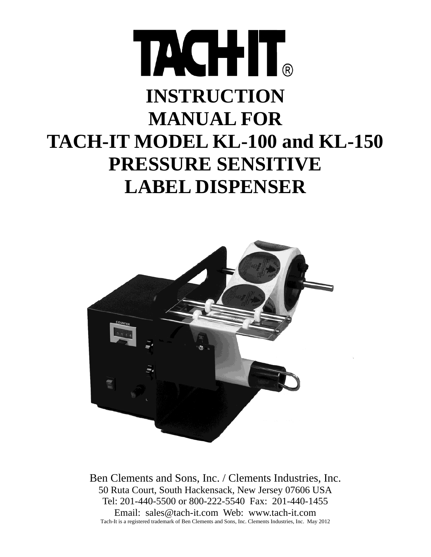# TACHIT. **INSTRUCTION MANUAL FOR TACH-IT MODEL KL-100 and KL-150 PRESSURE SENSITIVE LABEL DISPENSER**



Ben Clements and Sons, Inc. / Clements Industries, Inc. 50 Ruta Court, South Hackensack, New Jersey 07606 USA Tel: 201-440-5500 or 800-222-5540 Fax: 201-440-1455 Email: sales@tach-it.com Web: www.tach-it.com Tach-It is a registered trademark of Ben Clements and Sons, Inc. Clements Industries, Inc. May 2012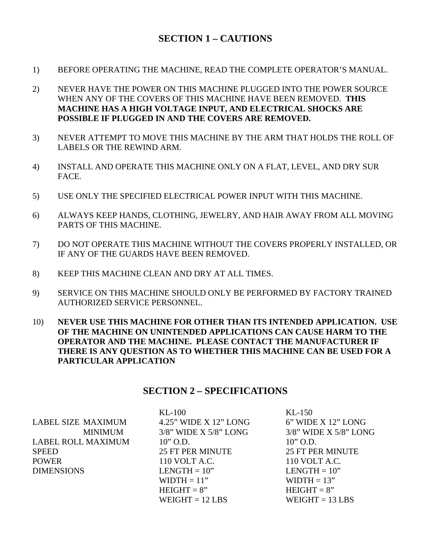## **SECTION 1 – CAUTIONS**

- 1) BEFORE OPERATING THE MACHINE, READ THE COMPLETE OPERATOR'S MANUAL.
- 2) NEVER HAVE THE POWER ON THIS MACHINE PLUGGED INTO THE POWER SOURCE WHEN ANY OF THE COVERS OF THIS MACHINE HAVE BEEN REMOVED. **THIS MACHINE HAS A HIGH VOLTAGE INPUT, AND ELECTRICAL SHOCKS ARE POSSIBLE IF PLUGGED IN AND THE COVERS ARE REMOVED.**
- 3) NEVER ATTEMPT TO MOVE THIS MACHINE BY THE ARM THAT HOLDS THE ROLL OF LABELS OR THE REWIND ARM.
- 4) INSTALL AND OPERATE THIS MACHINE ONLY ON A FLAT, LEVEL, AND DRY SUR FACE.
- 5) USE ONLY THE SPECIFIED ELECTRICAL POWER INPUT WITH THIS MACHINE.
- 6) ALWAYS KEEP HANDS, CLOTHING, JEWELRY, AND HAIR AWAY FROM ALL MOVING PARTS OF THIS MACHINE.
- 7) DO NOT OPERATE THIS MACHINE WITHOUT THE COVERS PROPERLY INSTALLED, OR IF ANY OF THE GUARDS HAVE BEEN REMOVED.
- 8) KEEP THIS MACHINE CLEAN AND DRY AT ALL TIMES.
- 9) SERVICE ON THIS MACHINE SHOULD ONLY BE PERFORMED BY FACTORY TRAINED AUTHORIZED SERVICE PERSONNEL.
- 10) **NEVER USE THIS MACHINE FOR OTHER THAN ITS INTENDED APPLICATION. USE OF THE MACHINE ON UNINTENDED APPLICATIONS CAN CAUSE HARM TO THE OPERATOR AND THE MACHINE. PLEASE CONTACT THE MANUFACTURER IF THERE IS ANY QUESTION AS TO WHETHER THIS MACHINE CAN BE USED FOR A PARTICULAR APPLICATION**

#### **SECTION 2 – SPECIFICATIONS**

|                           | $KL-100$                    | $KL-150$                    |
|---------------------------|-----------------------------|-----------------------------|
| <b>LABEL SIZE MAXIMUM</b> | 4.25" WIDE X 12" LONG       | 6" WIDE X 12" LONG          |
| <b>MINIMUM</b>            | $3/8$ " WIDE X $5/8$ " LONG | $3/8$ " WIDE X $5/8$ " LONG |
| <b>LABEL ROLL MAXIMUM</b> | $10$ " O.D.                 | $10''$ O.D.                 |
| <b>SPEED</b>              | <b>25 FT PER MINUTE</b>     | <b>25 FT PER MINUTE</b>     |
| <b>POWER</b>              | 110 VOLT A.C.               | 110 VOLT A.C.               |
| <b>DIMENSIONS</b>         | $LENGTH = 10"$              | LENGTH $= 10$ "             |
|                           | $WIDTH = 11"$               | $WIDTH = 13"$               |
|                           | $HEIGHT = 8"$               | $HEIGHT = 8"$               |
|                           | $WEIGHT = 12 LBS$           | $WEIGHT = 13 LBS$           |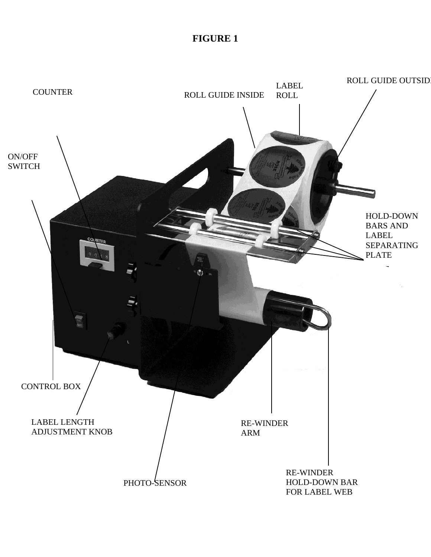# **FIGURE 1**